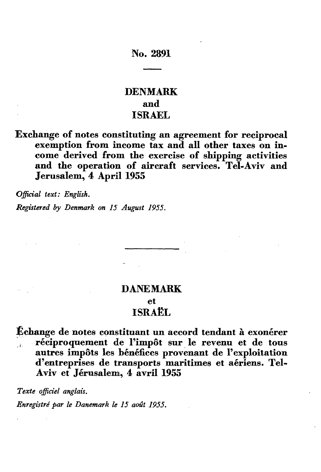## **No. 2891**

## **DENMARK and ISRAEL**

**Exchange of notes constituting an agreement for reciprocal exemption from income tax and all other taxes on in come derived from the exercise of shipping activities and the operation of aircraft services. Tel-Aviv and Jerusalem, 4 April 1955**

*Official text: English.*

*Registered by Denmark on 15 August 1955,*

# **DANEMARK et ISRAËL**

**^change de notes constituant un accord tendant à exonérer , réciproquement de l'impôt sur le revenu et de tous autres impôts les bénéfices provenant de l'exploitation d'entreprises de transports maritimes et aériens. Tel-Aviv et Jérusalem, 4 avril 1955**

*Texte officiel anglais.*

*Enregistré par le Danemark le 15 août 1955.*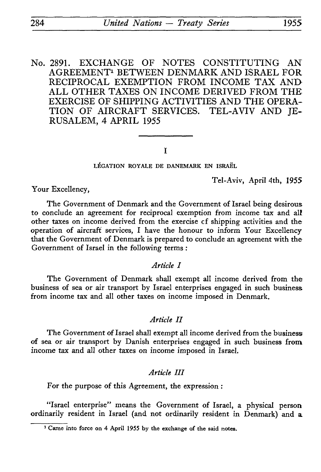No. 2891. EXCHANGE OF NOTES CONSTITUTING AN AGREEMENT1 BETWEEN DENMARK AND ISRAEL FOR RECIPROCAL EXEMPTION FROM INCOME TAX AND ALL OTHER TAXES ON INCOME DERIVED FROM THE EXERCISE OF SHIPPING ACTIVITIES AND THE OPERA TION OF AIRCRAFT SERVICES. TEL-AVIV AND JE RUSALEM, 4 APRIL 1955

### I

LÉGATION ROYALE DE DANEMARK EN ISRAËL

Tel-Aviv, April 4th, 1955

Your Excellency,

The Government of Denmark and the Government of Israel being desirous to conclude an agreement for reciprocal exemption from income tax and all other taxes on income derived from the exercise cf shipping activities and the operation of aircraft services, I have the honour to inform Your Excellency that the Government of Denmark is prepared to conclude an agreement with the Government of Israel in the following terms :

## *Article I*

The Government of Denmark shall exempt all income derived from the business of sea or air transport by Israel enterprises engaged in such business from income tax and all other taxes on income imposed in Denmark.

## *Article II*

The Government of Israel shall exempt all income derived from the business of sea or air transport by Danish enterprises engaged in such business from income tax and all other taxes on income imposed in Israel.

#### *Article III*

For the purpose of this Agreement, the expression :

"Israel enterprise" means the Government of Israel, a physical person ordinarily resident in Israel (and not ordinarily resident in Denmark) and a

<sup>&</sup>lt;sup>1</sup> Came into force on 4 April 1955 by the exchange of the said notes.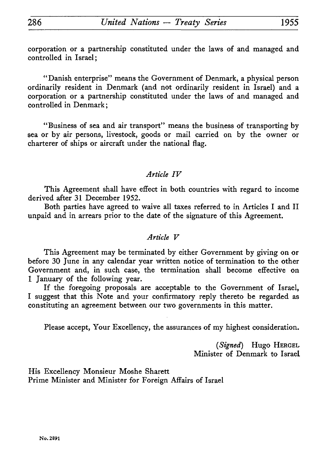corporation or a partnership constituted under the laws of and managed and controlled in Israel;

"Danish enterprise" means the Government of Denmark, a physical person ordinarily resident in Denmark (and not ordinarily resident in Israel) and a corporation or a partnership constituted under the laws of and managed and controlled in Denmark ;

"Business of sea and air transport" means the business of transporting by sea or by air persons, livestock, goods or mail carried on by the owner or charterer of ships or aircraft under the national flag.

## *Article IV*

This Agreement shall have effect in both countries with regard to income derived after 31 December 1952.

Both parties have agreed to waive all taxes referred to in Articles I and II unpaid and in arrears prior to the date of the signature of this Agreement.

### *Article V*

This Agreement may be terminated by either Government by giving on or before 30 June in any calendar year written notice of termination to the other Government and, in such case, the termination shall become effective on 1 January of the following year.

If the foregoing proposals are acceptable to the Government of Israel, I suggest that this Note and your confirmatory reply thereto be regarded as constituting an agreement between our two governments in this matter.

Please accept, Your Excellency, the assurances of my highest consideration.

*(Signed)* Hugo HERGEL Minister of Denmark to Israel

His Excellency Monsieur Moshe Sharett Prime Minister and Minister for Foreign Affairs of Israel